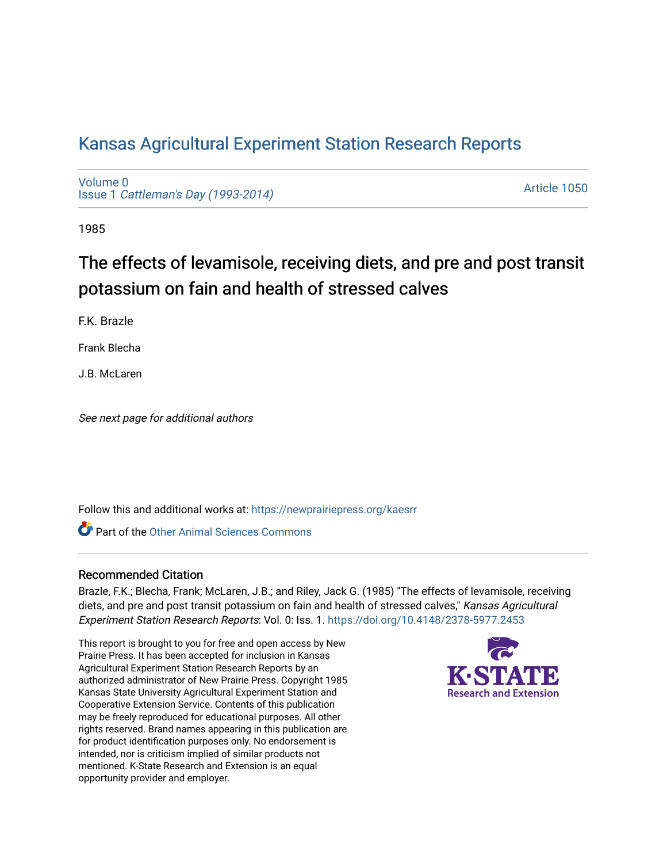# [Kansas Agricultural Experiment Station Research Reports](https://newprairiepress.org/kaesrr)

[Volume 0](https://newprairiepress.org/kaesrr/vol0) Issue 1 [Cattleman's Day \(1993-2014\)](https://newprairiepress.org/kaesrr/vol0/iss1) 

[Article 1050](https://newprairiepress.org/kaesrr/vol0/iss1/1050) 

1985

# The effects of levamisole, receiving diets, and pre and post transit potassium on fain and health of stressed calves

F.K. Brazle

Frank Blecha

J.B. McLaren

See next page for additional authors

Follow this and additional works at: [https://newprairiepress.org/kaesrr](https://newprairiepress.org/kaesrr?utm_source=newprairiepress.org%2Fkaesrr%2Fvol0%2Fiss1%2F1050&utm_medium=PDF&utm_campaign=PDFCoverPages) 

**C** Part of the [Other Animal Sciences Commons](http://network.bepress.com/hgg/discipline/82?utm_source=newprairiepress.org%2Fkaesrr%2Fvol0%2Fiss1%2F1050&utm_medium=PDF&utm_campaign=PDFCoverPages)

### Recommended Citation

Brazle, F.K.; Blecha, Frank; McLaren, J.B.; and Riley, Jack G. (1985) "The effects of levamisole, receiving diets, and pre and post transit potassium on fain and health of stressed calves," Kansas Agricultural Experiment Station Research Reports: Vol. 0: Iss. 1. <https://doi.org/10.4148/2378-5977.2453>

This report is brought to you for free and open access by New Prairie Press. It has been accepted for inclusion in Kansas Agricultural Experiment Station Research Reports by an authorized administrator of New Prairie Press. Copyright 1985 Kansas State University Agricultural Experiment Station and Cooperative Extension Service. Contents of this publication may be freely reproduced for educational purposes. All other rights reserved. Brand names appearing in this publication are for product identification purposes only. No endorsement is intended, nor is criticism implied of similar products not mentioned. K-State Research and Extension is an equal opportunity provider and employer.

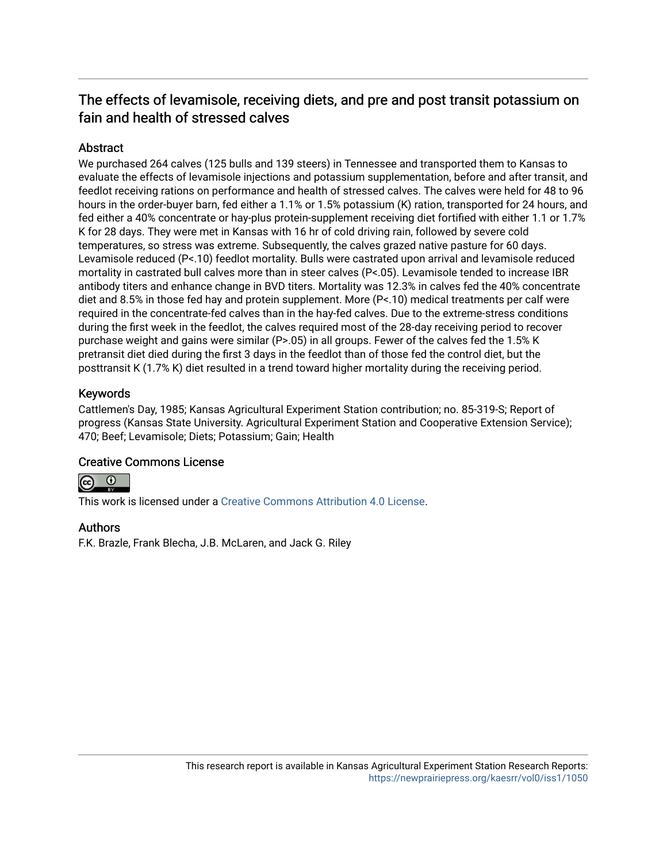# The effects of levamisole, receiving diets, and pre and post transit potassium on fain and health of stressed calves

# **Abstract**

We purchased 264 calves (125 bulls and 139 steers) in Tennessee and transported them to Kansas to evaluate the effects of levamisole injections and potassium supplementation, before and after transit, and feedlot receiving rations on performance and health of stressed calves. The calves were held for 48 to 96 hours in the order-buyer barn, fed either a 1.1% or 1.5% potassium (K) ration, transported for 24 hours, and fed either a 40% concentrate or hay-plus protein-supplement receiving diet fortified with either 1.1 or 1.7% K for 28 days. They were met in Kansas with 16 hr of cold driving rain, followed by severe cold temperatures, so stress was extreme. Subsequently, the calves grazed native pasture for 60 days. Levamisole reduced (P<.10) feedlot mortality. Bulls were castrated upon arrival and levamisole reduced mortality in castrated bull calves more than in steer calves (P<.05). Levamisole tended to increase IBR antibody titers and enhance change in BVD titers. Mortality was 12.3% in calves fed the 40% concentrate diet and 8.5% in those fed hay and protein supplement. More (P<.10) medical treatments per calf were required in the concentrate-fed calves than in the hay-fed calves. Due to the extreme-stress conditions during the first week in the feedlot, the calves required most of the 28-day receiving period to recover purchase weight and gains were similar (P>.05) in all groups. Fewer of the calves fed the 1.5% K pretransit diet died during the first 3 days in the feedlot than of those fed the control diet, but the posttransit K (1.7% K) diet resulted in a trend toward higher mortality during the receiving period.

# Keywords

Cattlemen's Day, 1985; Kansas Agricultural Experiment Station contribution; no. 85-319-S; Report of progress (Kansas State University. Agricultural Experiment Station and Cooperative Extension Service); 470; Beef; Levamisole; Diets; Potassium; Gain; Health

## Creative Commons License



This work is licensed under a [Creative Commons Attribution 4.0 License](https://creativecommons.org/licenses/by/4.0/).

## Authors

F.K. Brazle, Frank Blecha, J.B. McLaren, and Jack G. Riley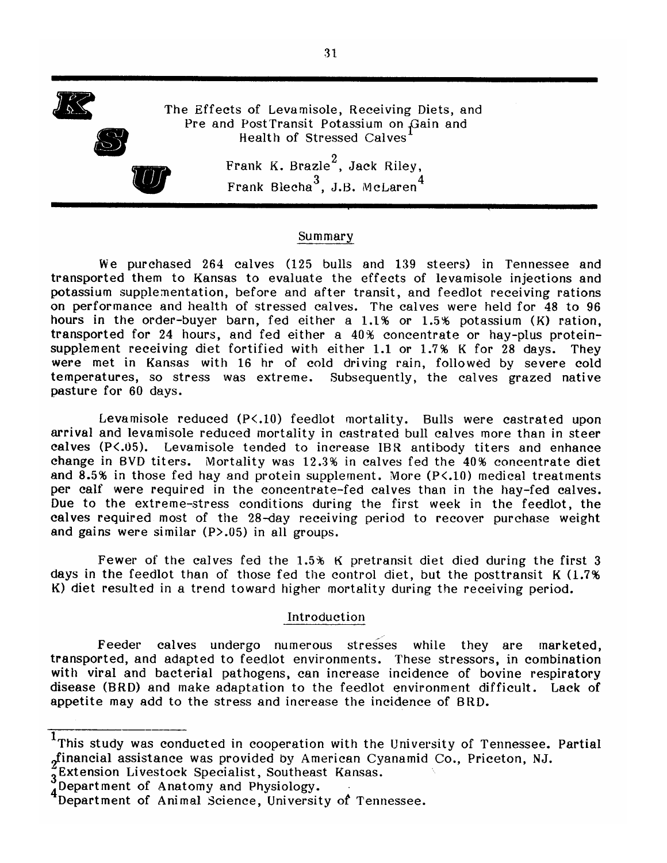

#### Summary

We purchased 264 calves (125 bulls and 139 steers) in Tennessee and transported them to Kansas to evaluate the effects of levamisole injections and potassium supplementation, before and after transit, and feedlot receiving rations on performance and health of stressed calves. The calves were held for 48 to 96 hours in the order-buyer barn, fed either a  $1.1\%$  or  $1.5\%$  potassium (K) ration, transported for 24 hours, and fed either a 40% concentrate or hay-plus proteinsupplement receiving diet fortified with either 1.1 or 1.7% K for 28 days. They were met in Kansas with 16 hr of cold driving rain, followed by severe cold temperatures, so stress was extreme. Subsequently, the calves grazed native pasture for 60 days.

Levamisole reduced  $(P<.10)$  feedlot mortality. Bulls were castrated upon arrival and levamisole reduced mortality in castrated bull calves more than in steer calves (P<.05). Levamisole tended to increase IBR antibody titers and enhance change in BVD titers. Mortality was 12.3% in calves fed the 40% concentrate diet and 8.5% in those fed hay and protein supplement. More (P<.10) medical treatments per calf were required in the concentrate-fed calves than in the hay-fed calves. Due to the extreme-stress conditions during the first week in the feedlot, the calves required most of the 28-day receiving period to recover purchase weight and gains were similar  $(P>0.05)$  in all groups.

Fewer of the calves fed the 1.5% K pretransit diet died during the first 3 days in the feedlot than of those fed the control diet, but the posttransit K (1.7%) K) diet resulted in a trend toward higher mortality during the receiving period.

#### Introduction

Feeder calves undergo numerous stresses while they are marketed, transported, and adapted to feedlot environments. These stressors, in combination with viral and bacterial pathogens, can increase incidence of bovine respiratory disease (BRD) and make adaptation to the feedlot environment difficult. Lack of appetite may add to the stress and increase the incidence of BRD.

 $1$ This study was conducted in cooperation with the University of Tennessee. Partial "financial assistance was provided by American Cyanamid Co., Priceton, NJ.

<sup>3</sup>Extension Livestock Specialist, Southeast Kansas.

Department of Anatomy and Physiology.

Abepartment of Animal Science, University of Tennessee.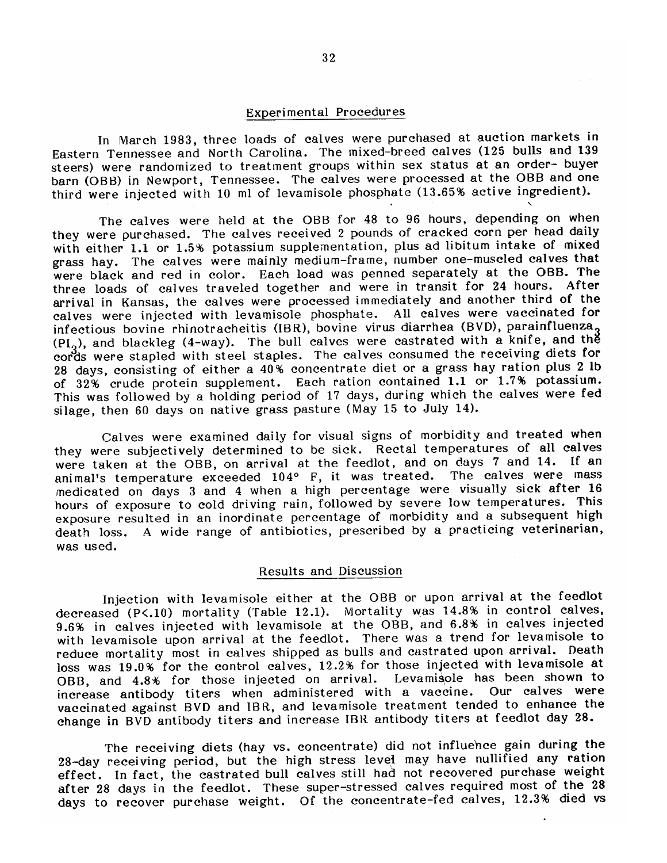#### Experimental Procedures

In March 1983, three loads of calves were purchased at auction markets in Eastern Tennessee and North Carolina. The mixed-breed calves (125 bulls and 139 steers) were randomized to treatment groups within sex status at an order- buyer barn (OBB) in Newport, Tennessee. The calves were processed at the OBB and one third were injected with 10 ml of levamisole phosphate (13.65% active ingredient).

The calves were held at the OBB for 48 to 96 hours, depending on when they were purchased. The calves received 2 pounds of cracked corn per head daily with either 1.1 or 1.5% potassium supplementation, plus ad libitum intake of mixed grass hay. The calves were mainly medium-frame, number one-muscled calves that were black and red in color. Each load was penned separately at the OBB. The three loads of calves traveled together and were in transit for 24 hours. After arrival in Kansas, the calves were processed immediately and another third of the calves were injected with levamisole phosphate. All calves were vaccinated for infectious bovine rhinotracheitis (IBR), bovine virus diarrhea (BVD), parainfluenza,<br>(PI<sub>2</sub>), and blackleg (4-way). The bull calves were castrated with a knife, and the cords were stapled with steel staples. The calves consumed the receiving diets for 28 days, consisting of either a 40% concentrate diet or a grass hay ration plus 2 lb of 32% crude protein supplement. Each ration contained 1.1 or 1.7% potassium. This was followed by a holding period of 17 days, during which the calves were fed silage, then 60 days on native grass pasture (May 15 to July 14).

Calves were examined daily for visual signs of morbidity and treated when they were subjectively determined to be sick. Rectal temperatures of all calves were taken at the OBB, on arrival at the feedlot, and on days 7 and 14. If an animal's temperature exceeded 104° F, it was treated. The calves were mass medicated on days 3 and 4 when a high percentage were visually sick after 16 hours of exposure to cold driving rain, followed by severe low temperatures. This exposure resulted in an inordinate percentage of morbidity and a subsequent high A wide range of antibiotics, prescribed by a practicing veterinarian, death loss. was used.

### Results and Discussion

Injection with levamisole either at the OBB or upon arrival at the feedlot decreased (P<.10) mortality (Table 12.1). Mortality was 14.8% in control calves, 9.6% in calves injected with levamisole at the OBB, and 6.8% in calves injected with levamisole upon arrival at the feedlot. There was a trend for levamisole to reduce mortality most in calves shipped as bulls and castrated upon arrival. Death loss was 19.0% for the control calves, 12.2% for those injected with levamisole at OBB, and 4.8% for those injected on arrival. Levamisole has been shown to increase antibody titers when administered with a vaccine. Our calves were vaccinated against BVD and IBR, and levamisole treatment tended to enhance the change in BVD antibody titers and increase IBR antibody titers at feedlot day 28.

The receiving diets (hay vs. concentrate) did not influence gain during the 28-day receiving period, but the high stress level may have nullified any ration effect. In fact, the castrated bull calves still had not recovered purchase weight after 28 days in the feedlot. These super-stressed calves required most of the 28 days to recover purchase weight. Of the concentrate-fed calves, 12.3% died vs